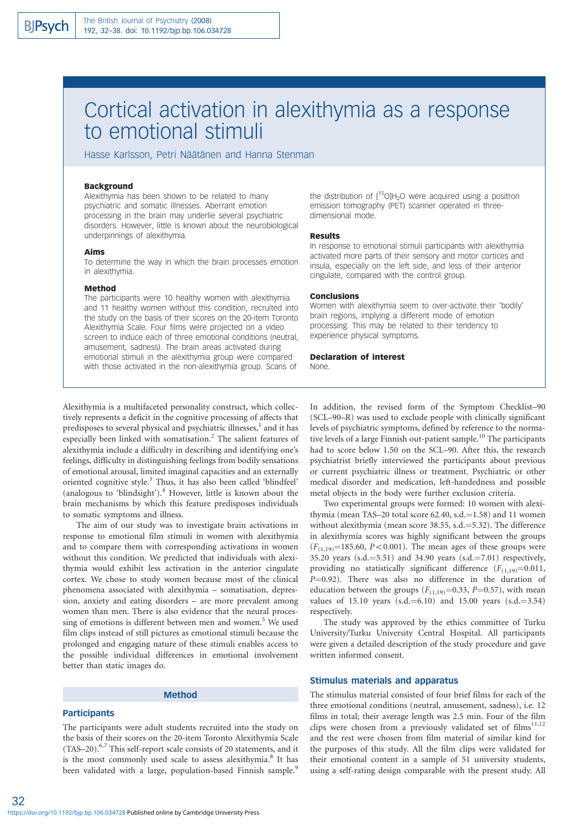# Cortical activation in alexithymia as a response to emotional stimuli

Hasse Karlsson, Petri Näätänen and Hanna Stenman

## Background

Alexithymia has been shown to be related to many psychiatric and somatic illnesses. Aberrant emotion processing in the brain may underlie several psychiatric disorders. However, little is known about the neurobiological underpinnings of alexithymia.

## Aims

To determine the way in which the brain processes emotion in alexithymia.

#### Method

The participants were 10 healthy women with alexithymia and 11 healthy women without this condition, recruited into the study on the basis of their scores on the 20-item Toronto Alexithymia Scale. Four films were projected on a video screen to induce each of three emotional conditions (neutral, amusement, sadness). The brain areas activated during emotional stimuli in the alexithymia group were compared with those activated in the non-alexithymia group. Scans of

Alexithymia is a multifaceted personality construct, which collectively represents a deficit in the cognitive processing of affects that predisposes to several physical and psychiatric illnesses,<sup>1</sup> and it has especially been linked with somatisation.<sup>2</sup> The salient features of alexithymia include a difficulty in describing and identifying one's feelings, difficulty in distinguishing feelings from bodily sensations of emotional arousal, limited imaginal capacities and an externally oriented cognitive style.<sup>3</sup> Thus, it has also been called 'blindfeel' (analogous to 'blindsight').<sup>4</sup> However, little is known about the brain mechanisms by which this feature predisposes individuals to somatic symptoms and illness.

The aim of our study was to investigate brain activations in response to emotional film stimuli in women with alexithymia and to compare them with corresponding activations in women without this condition. We predicted that individuals with alexithymia would exhibit less activation in the anterior cingulate cortex. We chose to study women because most of the clinical phenomena associated with alexithymia – somatisation, depression, anxiety and eating disorders – are more prevalent among women than men. There is also evidence that the neural processing of emotions is different between men and women.<sup>5</sup> We used film clips instead of still pictures as emotional stimuli because the prolonged and engaging nature of these stimuli enables access to the possible individual differences in emotional involvement better than static images do.

## Method

## **Participants**

The participants were adult students recruited into the study on the basis of their scores on the 20-item Toronto Alexithymia Scale (TAS–20).6,7 This self-report scale consists of 20 statements, and it is the most commonly used scale to assess alexithymia.<sup>8</sup> It has been validated with a large, population-based Finnish sample.<sup>9</sup>

the distribution of  $[150]$ H<sub>2</sub>O were acquired using a positron emission tomography (PET) scanner operated in threedimensional mode.

#### Results

In response to emotional stimuli participants with alexithymia activated more parts of their sensory and motor cortices and insula, especially on the left side, and less of their anterior cingulate, compared with the control group.

## Conclusions

Women with alexithymia seem to over-activate their 'bodily' brain regions, implying a different mode of emotion processing. This may be related to their tendency to experience physical symptoms.

## Declaration of interest

None.

In addition, the revised form of the Symptom Checklist–90 (SCL–90–R) was used to exclude people with clinically significant levels of psychiatric symptoms, defined by reference to the normative levels of a large Finnish out-patient sample.<sup>10</sup> The participants had to score below 1.50 on the SCL–90. After this, the research psychiatrist briefly interviewed the participants about previous or current psychiatric illness or treatment. Psychiatric or other medical disorder and medication, left-handedness and possible metal objects in the body were further exclusion criteria.

Two experimental groups were formed: 10 women with alexithymia (mean TAS–20 total score  $62.40$ , s.d. $=$ 1.58) and 11 women without alexithymia (mean score 38.55, s.d.=5.32). The difference in alexithymia scores was highly significant between the groups  $(F_{(1,19)}=185.60, P<0.001)$ . The mean ages of these groups were 35.20 years (s.d. $=$ 5.51) and 34.90 years (s.d. $=$ 7.01) respectively, providing no statistically significant difference  $(F_{(1,19)}=0.011,$  $P=0.92$ ). There was also no difference in the duration of education between the groups  $(F_{(1,19)}=0.33, P=0.57)$ , with mean values of 15.10 years  $(s.d.=6.10)$  and 15.00 years  $(s.d.=3.54)$ respectively

The study was approved by the ethics committee of Turku University/Turku University Central Hospital. All participants were given a detailed description of the study procedure and gave written informed consent.

## Stimulus materials and apparatus

The stimulus material consisted of four brief films for each of the three emotional conditions (neutral, amusement, sadness), i.e. 12 films in total; their average length was 2.5 min. Four of the film clips were chosen from a previously validated set of films<sup>11,12</sup> and the rest were chosen from film material of similar kind for the purposes of this study. All the film clips were validated for their emotional content in a sample of 51 university students, using a self-rating design comparable with the present study. All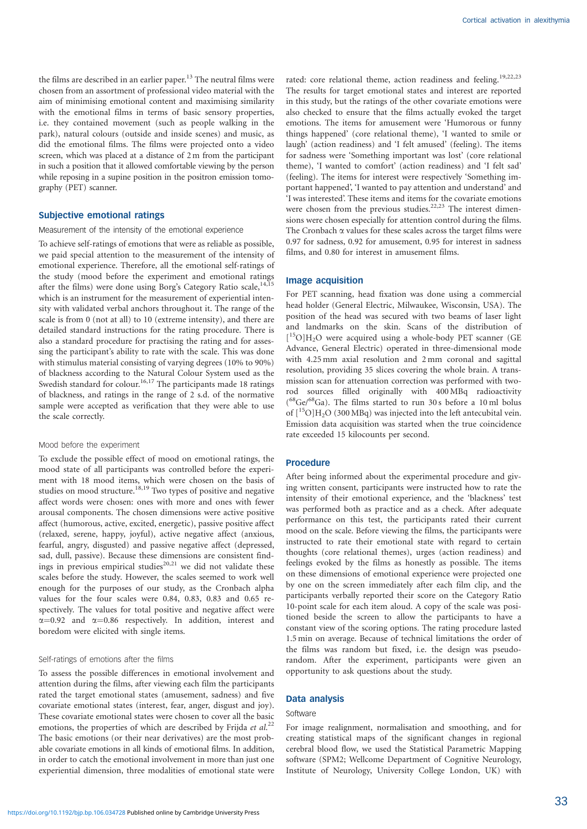the films are described in an earlier paper.<sup>13</sup> The neutral films were chosen from an assortment of professional video material with the aim of minimising emotional content and maximising similarity with the emotional films in terms of basic sensory properties, i.e. they contained movement (such as people walking in the park), natural colours (outside and inside scenes) and music, as did the emotional films. The films were projected onto a video screen, which was placed at a distance of 2 m from the participant in such a position that it allowed comfortable viewing by the person while reposing in a supine position in the positron emission tomography (PET) scanner.

## Subjective emotional ratings

Measurement of the intensity of the emotional experience

To achieve self-ratings of emotions that were as reliable as possible, we paid special attention to the measurement of the intensity of emotional experience. Therefore, all the emotional self-ratings of the study (mood before the experiment and emotional ratings after the films) were done using Borg's Category Ratio scale, $14,15$ which is an instrument for the measurement of experiential intensity with validated verbal anchors throughout it. The range of the scale is from 0 (not at all) to 10 (extreme intensity), and there are detailed standard instructions for the rating procedure. There is also a standard procedure for practising the rating and for assessing the participant's ability to rate with the scale. This was done with stimulus material consisting of varying degrees (10% to 90%) of blackness according to the Natural Colour System used as the Swedish standard for colour.<sup>16,17</sup> The participants made 18 ratings of blackness, and ratings in the range of 2 s.d. of the normative sample were accepted as verification that they were able to use the scale correctly.

### Mood before the experiment

To exclude the possible effect of mood on emotional ratings, the mood state of all participants was controlled before the experiment with 18 mood items, which were chosen on the basis of studies on mood structure.<sup>18,19</sup> Two types of positive and negative affect words were chosen: ones with more and ones with fewer arousal components. The chosen dimensions were active positive affect (humorous, active, excited, energetic), passive positive affect (relaxed, serene, happy, joyful), active negative affect (anxious, fearful, angry, disgusted) and passive negative affect (depressed, sad, dull, passive). Because these dimensions are consistent findings in previous empirical studies<sup>20,21</sup> we did not validate these scales before the study. However, the scales seemed to work well enough for the purposes of our study, as the Cronbach alpha values for the four scales were 0.84, 0.83, 0.83 and 0.65 respectively. The values for total positive and negative affect were  $\alpha$ =0.92 and  $\alpha$ =0.86 respectively. In addition, interest and boredom were elicited with single items.

#### Self-ratings of emotions after the films

To assess the possible differences in emotional involvement and attention during the films, after viewing each film the participants rated the target emotional states (amusement, sadness) and five covariate emotional states (interest, fear, anger, disgust and joy). These covariate emotional states were chosen to cover all the basic emotions, the properties of which are described by Frijda et al.<sup>22</sup> The basic emotions (or their near derivatives) are the most probable covariate emotions in all kinds of emotional films. In addition, in order to catch the emotional involvement in more than just one experiential dimension, three modalities of emotional state were

rated: core relational theme, action readiness and feeling.<sup>19,22,23</sup> The results for target emotional states and interest are reported in this study, but the ratings of the other covariate emotions were also checked to ensure that the films actually evoked the target emotions. The items for amusement were 'Humorous or funny things happened' (core relational theme), 'I wanted to smile or laugh' (action readiness) and 'I felt amused' (feeling). The items for sadness were 'Something important was lost' (core relational theme), 'I wanted to comfort' (action readiness) and 'I felt sad' (feeling). The items for interest were respectively 'Something important happened', 'I wanted to pay attention and understand' and 'I was interested'. These items and items for the covariate emotions were chosen from the previous studies.<sup>22,23</sup> The interest dimensions were chosen especially for attention control during the films. The Cronbach  $\alpha$  values for these scales across the target films were 0.97 for sadness, 0.92 for amusement, 0.95 for interest in sadness films, and 0.80 for interest in amusement films.

## Image acquisition

For PET scanning, head fixation was done using a commercial head holder (General Electric, Milwaukee, Wisconsin, USA). The position of the head was secured with two beams of laser light and landmarks on the skin. Scans of the distribution of [<sup>15</sup>O]H<sub>2</sub>O were acquired using a whole-body PET scanner (GE Advance, General Electric) operated in three-dimensional mode with 4.25 mm axial resolution and 2 mm coronal and sagittal resolution, providing 35 slices covering the whole brain. A transmission scan for attenuation correction was performed with tworod sources filled originally with 400 MBq radioactivity ( 68Ge/68Ga). The films started to run 30 s before a 10 ml bolus of  $\left[{}^{15}O\right]H_2O$  (300 MBq) was injected into the left antecubital vein. Emission data acquisition was started when the true coincidence rate exceeded 15 kilocounts per second.

## Procedure

After being informed about the experimental procedure and giving written consent, participants were instructed how to rate the intensity of their emotional experience, and the 'blackness' test was performed both as practice and as a check. After adequate performance on this test, the participants rated their current mood on the scale. Before viewing the films, the participants were instructed to rate their emotional state with regard to certain thoughts (core relational themes), urges (action readiness) and feelings evoked by the films as honestly as possible. The items on these dimensions of emotional experience were projected one by one on the screen immediately after each film clip, and the participants verbally reported their score on the Category Ratio 10-point scale for each item aloud. A copy of the scale was positioned beside the screen to allow the participants to have a constant view of the scoring options. The rating procedure lasted 1.5 min on average. Because of technical limitations the order of the films was random but fixed, i.e. the design was pseudorandom. After the experiment, participants were given an opportunity to ask questions about the study.

## Data analysis

#### **Software**

For image realignment, normalisation and smoothing, and for creating statistical maps of the significant changes in regional cerebral blood flow, we used the Statistical Parametric Mapping software (SPM2; Wellcome Department of Cognitive Neurology, Institute of Neurology, University College London, UK) with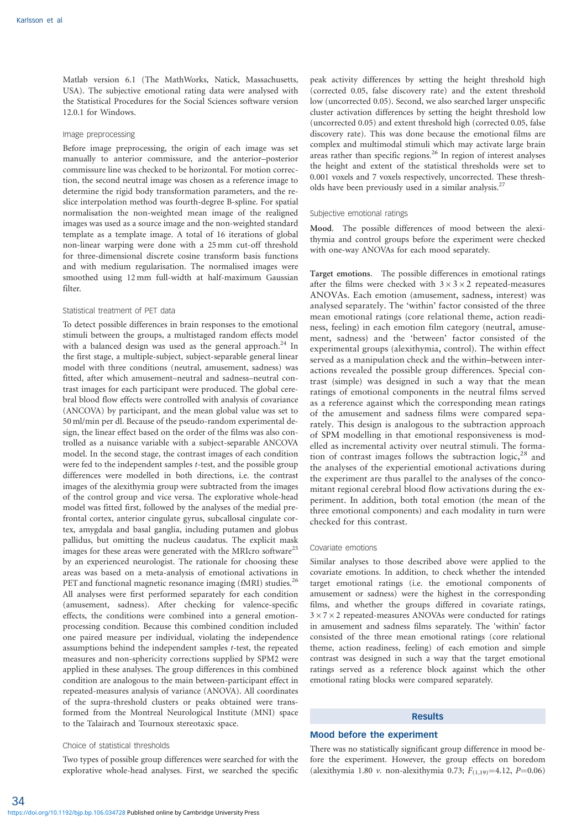Matlab version 6.1 (The MathWorks, Natick, Massachusetts, USA). The subjective emotional rating data were analysed with the Statistical Procedures for the Social Sciences software version 12.0.1 for Windows.

#### Image preprocessing

Before image preprocessing, the origin of each image was set manually to anterior commissure, and the anterior–posterior commissure line was checked to be horizontal. For motion correction, the second neutral image was chosen as a reference image to determine the rigid body transformation parameters, and the reslice interpolation method was fourth-degree B-spline. For spatial normalisation the non-weighted mean image of the realigned images was used as a source image and the non-weighted standard template as a template image. A total of 16 iterations of global non-linear warping were done with a 25 mm cut-off threshold for three-dimensional discrete cosine transform basis functions and with medium regularisation. The normalised images were smoothed using 12 mm full-width at half-maximum Gaussian filter.

## Statistical treatment of PET data

To detect possible differences in brain responses to the emotional stimuli between the groups, a multistaged random effects model with a balanced design was used as the general approach.<sup>24</sup> In the first stage, a multiple-subject, subject-separable general linear model with three conditions (neutral, amusement, sadness) was fitted, after which amusement–neutral and sadness–neutral contrast images for each participant were produced. The global cerebral blood flow effects were controlled with analysis of covariance (ANCOVA) by participant, and the mean global value was set to 50 ml/min per dl. Because of the pseudo-random experimental design, the linear effect based on the order of the films was also controlled as a nuisance variable with a subject-separable ANCOVA model. In the second stage, the contrast images of each condition were fed to the independent samples t-test, and the possible group differences were modelled in both directions, i.e. the contrast images of the alexithymia group were subtracted from the images of the control group and vice versa. The explorative whole-head model was fitted first, followed by the analyses of the medial prefrontal cortex, anterior cingulate gyrus, subcallosal cingulate cortex, amygdala and basal ganglia, including putamen and globus pallidus, but omitting the nucleus caudatus. The explicit mask images for these areas were generated with the MRIcro software<sup>25</sup> by an experienced neurologist. The rationale for choosing these areas was based on a meta-analysis of emotional activations in PET and functional magnetic resonance imaging (fMRI) studies.<sup>26</sup> All analyses were first performed separately for each condition (amusement, sadness). After checking for valence-specific effects, the conditions were combined into a general emotionprocessing condition. Because this combined condition included one paired measure per individual, violating the independence assumptions behind the independent samples t-test, the repeated measures and non-sphericity corrections supplied by SPM2 were applied in these analyses. The group differences in this combined condition are analogous to the main between-participant effect in repeated-measures analysis of variance (ANOVA). All coordinates of the supra-threshold clusters or peaks obtained were transformed from the Montreal Neurological Institute (MNI) space to the Talairach and Tournoux stereotaxic space.

### Choice of statistical thresholds

Two types of possible group differences were searched for with the explorative whole-head analyses. First, we searched the specific

peak activity differences by setting the height threshold high (corrected 0.05, false discovery rate) and the extent threshold low (uncorrected 0.05). Second, we also searched larger unspecific cluster activation differences by setting the height threshold low (uncorrected 0.05) and extent threshold high (corrected 0.05, false discovery rate). This was done because the emotional films are complex and multimodal stimuli which may activate large brain areas rather than specific regions.<sup>26</sup> In region of interest analyses the height and extent of the statistical thresholds were set to 0.001 voxels and 7 voxels respectively, uncorrected. These thresholds have been previously used in a similar analysis.<sup>27</sup>

## Subjective emotional ratings

Mood. The possible differences of mood between the alexithymia and control groups before the experiment were checked with one-way ANOVAs for each mood separately.

Target emotions. The possible differences in emotional ratings after the films were checked with  $3 \times 3 \times 2$  repeated-measures ANOVAs. Each emotion (amusement, sadness, interest) was analysed separately. The 'within' factor consisted of the three mean emotional ratings (core relational theme, action readiness, feeling) in each emotion film category (neutral, amusement, sadness) and the 'between' factor consisted of the experimental groups (alexithymia, control). The within effect served as a manipulation check and the within–between interactions revealed the possible group differences. Special contrast (simple) was designed in such a way that the mean ratings of emotional components in the neutral films served as a reference against which the corresponding mean ratings of the amusement and sadness films were compared separately. This design is analogous to the subtraction approach of SPM modelling in that emotional responsiveness is modelled as incremental activity over neutral stimuli. The formation of contrast images follows the subtraction  $logic<sub>1</sub><sup>28</sup>$  and the analyses of the experiential emotional activations during the experiment are thus parallel to the analyses of the concomitant regional cerebral blood flow activations during the experiment. In addition, both total emotion (the mean of the three emotional components) and each modality in turn were checked for this contrast.

#### Covariate emotions

Similar analyses to those described above were applied to the covariate emotions. In addition, to check whether the intended target emotional ratings (i.e. the emotional components of amusement or sadness) were the highest in the corresponding films, and whether the groups differed in covariate ratings,  $3 \times 7 \times 2$  repeated-measures ANOVAs were conducted for ratings in amusement and sadness films separately. The 'within' factor consisted of the three mean emotional ratings (core relational theme, action readiness, feeling) of each emotion and simple contrast was designed in such a way that the target emotional ratings served as a reference block against which the other emotional rating blocks were compared separately.

## **Results**

## Mood before the experiment

There was no statistically significant group difference in mood before the experiment. However, the group effects on boredom (alexithymia 1.80 v. non-alexithymia 0.73;  $F_{(1,19)} = 4.12$ ,  $P = 0.06$ )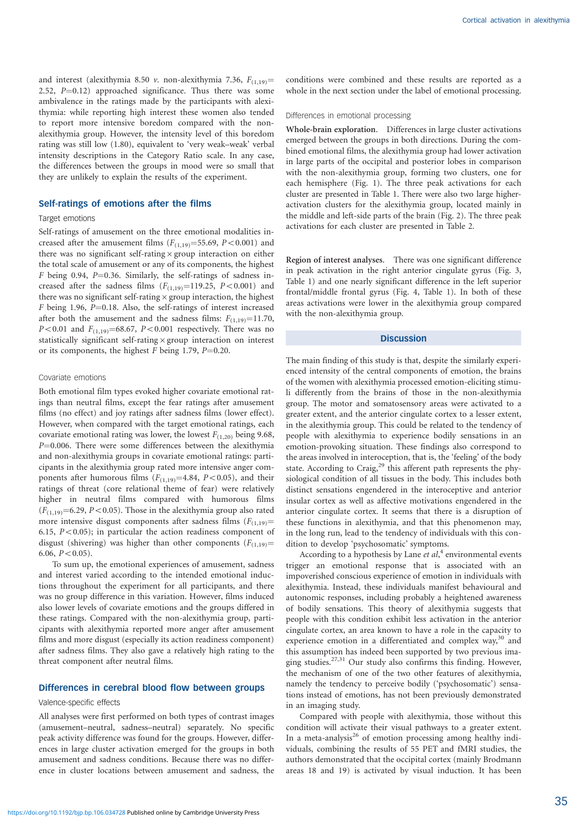and interest (alexithymia 8.50 v. non-alexithymia 7.36,  $F_{(1,19)} =$ 2.52,  $P=0.12$ ) approached significance. Thus there was some ambivalence in the ratings made by the participants with alexithymia: while reporting high interest these women also tended to report more intensive boredom compared with the nonalexithymia group. However, the intensity level of this boredom rating was still low (1.80), equivalent to 'very weak–weak' verbal intensity descriptions in the Category Ratio scale. In any case, the differences between the groups in mood were so small that they are unlikely to explain the results of the experiment.

## Self-ratings of emotions after the films

## Target emotions

Self-ratings of amusement on the three emotional modalities increased after the amusement films  $(F_{(1,19)}=55.69, P<0.001)$  and there was no significant self-rating  $\times$  group interaction on either the total scale of amusement or any of its components, the highest F being 0.94,  $P=0.36$ . Similarly, the self-ratings of sadness increased after the sadness films  $(F_{(1,19)}=119.25, P<0.001)$  and there was no significant self-rating  $\times$  group interaction, the highest F being 1.96,  $P=0.18$ . Also, the self-ratings of interest increased after both the amusement and the sadness films:  $F_{(1,19)} = 11.70$ ,  $P < 0.01$  and  $F_{(1,19)} = 68.67$ ,  $P < 0.001$  respectively. There was no statistically significant self-rating  $\times$  group interaction on interest or its components, the highest  $F$  being 1.79,  $P=0.20$ .

#### Covariate emotions

Both emotional film types evoked higher covariate emotional ratings than neutral films, except the fear ratings after amusement films (no effect) and joy ratings after sadness films (lower effect). However, when compared with the target emotional ratings, each covariate emotional rating was lower, the lowest  $F_{(1,20)}$  being 9.68,  $P=0.006$ . There were some differences between the alexithymia and non-alexithymia groups in covariate emotional ratings: participants in the alexithymia group rated more intensive anger components after humorous films  $(F_{(1,19)}=4.84, P<0.05)$ , and their ratings of threat (core relational theme of fear) were relatively higher in neutral films compared with humorous films  $(F<sub>(1,19)</sub>=6.29, P<0.05)$ . Those in the alexithymia group also rated more intensive disgust components after sadness films  $(F_{(1,19)}=$ 6.15,  $P < 0.05$ ); in particular the action readiness component of disgust (shivering) was higher than other components  $(F_{(1,19)}=$ 6.06,  $P<0.05$ ).

To sum up, the emotional experiences of amusement, sadness and interest varied according to the intended emotional inductions throughout the experiment for all participants, and there was no group difference in this variation. However, films induced also lower levels of covariate emotions and the groups differed in these ratings. Compared with the non-alexithymia group, participants with alexithymia reported more anger after amusement films and more disgust (especially its action readiness component) after sadness films. They also gave a relatively high rating to the threat component after neutral films.

#### Differences in cerebral blood flow between groups

#### Valence-specific effects

All analyses were first performed on both types of contrast images (amusement–neutral, sadness–neutral) separately. No specific peak activity difference was found for the groups. However, differences in large cluster activation emerged for the groups in both amusement and sadness conditions. Because there was no difference in cluster locations between amusement and sadness, the conditions were combined and these results are reported as a whole in the next section under the label of emotional processing.

#### Differences in emotional processing

Whole-brain exploration. Differences in large cluster activations emerged between the groups in both directions. During the combined emotional films, the alexithymia group had lower activation in large parts of the occipital and posterior lobes in comparison with the non-alexithymia group, forming two clusters, one for each hemisphere (Fig. 1). The three peak activations for each cluster are presented in Table 1. There were also two large higheractivation clusters for the alexithymia group, located mainly in the middle and left-side parts of the brain (Fig. 2). The three peak activations for each cluster are presented in Table 2.

Region of interest analyses. There was one significant difference in peak activation in the right anterior cingulate gyrus (Fig. 3, Table 1) and one nearly significant difference in the left superior frontal/middle frontal gyrus (Fig. 4, Table 1). In both of these areas activations were lower in the alexithymia group compared with the non-alexithymia group.

## **Discussion**

The main finding of this study is that, despite the similarly experienced intensity of the central components of emotion, the brains of the women with alexithymia processed emotion-eliciting stimuli differently from the brains of those in the non-alexithymia group. The motor and somatosensory areas were activated to a greater extent, and the anterior cingulate cortex to a lesser extent, in the alexithymia group. This could be related to the tendency of people with alexithymia to experience bodily sensations in an emotion-provoking situation. These findings also correspond to the areas involved in interoception, that is, the 'feeling' of the body state. According to Craig,<sup>29</sup> this afferent path represents the physiological condition of all tissues in the body. This includes both distinct sensations engendered in the interoceptive and anterior insular cortex as well as affective motivations engendered in the anterior cingulate cortex. It seems that there is a disruption of these functions in alexithymia, and that this phenomenon may, in the long run, lead to the tendency of individuals with this condition to develop 'psychosomatic' symptoms.

According to a hypothesis by Lane et al,<sup>4</sup> environmental events trigger an emotional response that is associated with an impoverished conscious experience of emotion in individuals with alexithymia. Instead, these individuals manifest behavioural and autonomic responses, including probably a heightened awareness of bodily sensations. This theory of alexithymia suggests that people with this condition exhibit less activation in the anterior cingulate cortex, an area known to have a role in the capacity to experience emotion in a differentiated and complex way, $30$  and this assumption has indeed been supported by two previous imaging studies.<sup>27,31</sup> Our study also confirms this finding. However, the mechanism of one of the two other features of alexithymia, namely the tendency to perceive bodily ('psychosomatic') sensations instead of emotions, has not been previously demonstrated in an imaging study.

Compared with people with alexithymia, those without this condition will activate their visual pathways to a greater extent. In a meta-analysis<sup>26</sup> of emotion processing among healthy individuals, combining the results of 55 PET and fMRI studies, the authors demonstrated that the occipital cortex (mainly Brodmann areas 18 and 19) is activated by visual induction. It has been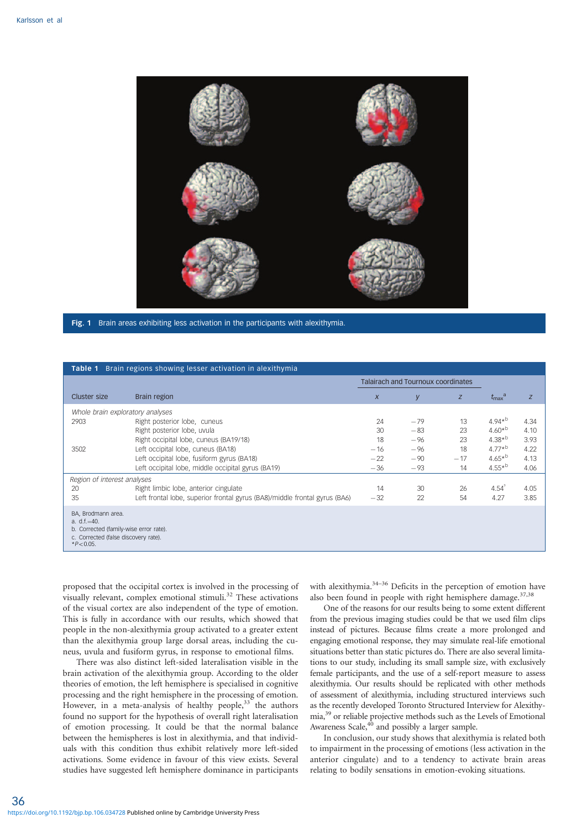

Fig. 1 Brain areas exhibiting less activation in the participants with alexithymia.

| Brain regions showing lesser activation in alexithymia<br>Table 1                                                                     |                                                                            |                                           |       |       |                            |      |  |  |  |  |  |
|---------------------------------------------------------------------------------------------------------------------------------------|----------------------------------------------------------------------------|-------------------------------------------|-------|-------|----------------------------|------|--|--|--|--|--|
|                                                                                                                                       |                                                                            | <b>Talairach and Tournoux coordinates</b> |       |       |                            |      |  |  |  |  |  |
| <b>Cluster size</b>                                                                                                                   | <b>Brain region</b>                                                        | $\boldsymbol{X}$                          | y     | Z     | $t_{\rm max}$ <sup>a</sup> | Z    |  |  |  |  |  |
| Whole brain exploratory analyses                                                                                                      |                                                                            |                                           |       |       |                            |      |  |  |  |  |  |
| 2903                                                                                                                                  | Right posterior lobe, cuneus                                               | 24                                        | $-79$ | 13    | $4.94*^{b}$                | 4.34 |  |  |  |  |  |
|                                                                                                                                       | Right posterior lobe, uvula                                                | 30                                        | $-83$ | 23    | $4.60*^{b}$                | 4.10 |  |  |  |  |  |
|                                                                                                                                       | Right occipital lobe, cuneus (BA19/18)                                     | 18                                        | $-96$ | 23    | $4.38*^{b}$                | 3.93 |  |  |  |  |  |
| 3502                                                                                                                                  | Left occipital lobe, cuneus (BA18)                                         | $-16$                                     | $-96$ | 18    | $4.77*^{b}$                | 4.22 |  |  |  |  |  |
|                                                                                                                                       | Left occipital lobe, fusiform gyrus (BA18)                                 | $-22$                                     | $-90$ | $-17$ | $4.65*^{b}$                | 4.13 |  |  |  |  |  |
|                                                                                                                                       | Left occipital lobe, middle occipital gyrus (BA19)                         | $-36$                                     | $-93$ | 14    | $4.55*^{b}$                | 4.06 |  |  |  |  |  |
| Region of interest analyses                                                                                                           |                                                                            |                                           |       |       |                            |      |  |  |  |  |  |
| 20                                                                                                                                    | Right limbic lobe, anterior cingulate                                      | 14                                        | 30    | 26    | 4.54                       | 4.05 |  |  |  |  |  |
| 35                                                                                                                                    | Left frontal lobe, superior frontal gyrus (BA8)/middle frontal gyrus (BA6) | $-32$                                     | 22    | 54    | 4.27                       | 3.85 |  |  |  |  |  |
| BA, Brodmann area.<br>a. $d.f.=40$ .<br>b. Corrected (family-wise error rate).<br>c. Corrected (false discovery rate).<br>$*P<0.05$ . |                                                                            |                                           |       |       |                            |      |  |  |  |  |  |

proposed that the occipital cortex is involved in the processing of visually relevant, complex emotional stimuli.<sup>32</sup> These activations of the visual cortex are also independent of the type of emotion. This is fully in accordance with our results, which showed that people in the non-alexithymia group activated to a greater extent than the alexithymia group large dorsal areas, including the cuneus, uvula and fusiform gyrus, in response to emotional films.

There was also distinct left-sided lateralisation visible in the brain activation of the alexithymia group. According to the older theories of emotion, the left hemisphere is specialised in cognitive processing and the right hemisphere in the processing of emotion. However, in a meta-analysis of healthy people,<sup>33</sup> the authors found no support for the hypothesis of overall right lateralisation of emotion processing. It could be that the normal balance between the hemispheres is lost in alexithymia, and that individuals with this condition thus exhibit relatively more left-sided activations. Some evidence in favour of this view exists. Several studies have suggested left hemisphere dominance in participants

with alexithymia.<sup>34–36</sup> Deficits in the perception of emotion have also been found in people with right hemisphere damage.<sup>37,38</sup>

One of the reasons for our results being to some extent different from the previous imaging studies could be that we used film clips instead of pictures. Because films create a more prolonged and engaging emotional response, they may simulate real-life emotional situations better than static pictures do. There are also several limitations to our study, including its small sample size, with exclusively female participants, and the use of a self-report measure to assess alexithymia. Our results should be replicated with other methods of assessment of alexithymia, including structured interviews such as the recently developed Toronto Structured Interview for Alexithymia,39 or reliable projective methods such as the Levels of Emotional Awareness Scale, $40$  and possibly a larger sample.

In conclusion, our study shows that alexithymia is related both to impairment in the processing of emotions (less activation in the anterior cingulate) and to a tendency to activate brain areas relating to bodily sensations in emotion-evoking situations.

36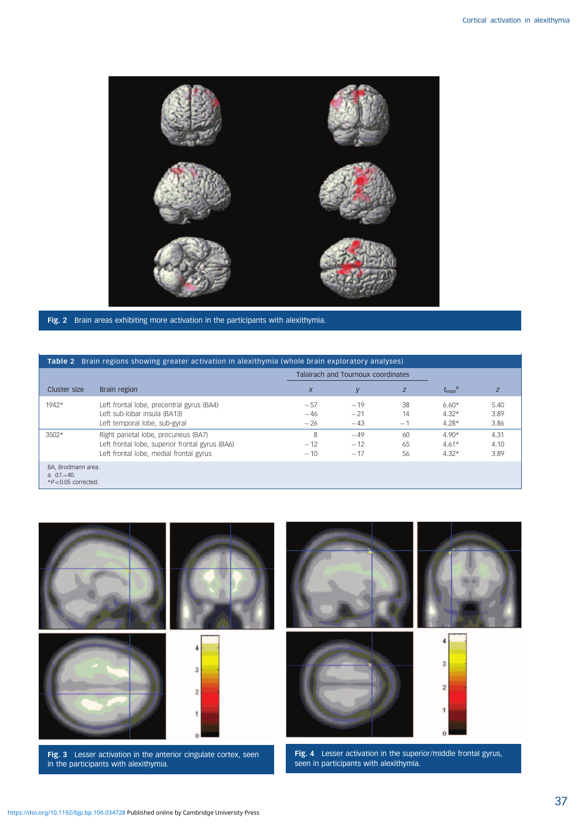

Fig. 2 Brain areas exhibiting more activation in the participants with alexithymia.

# Table 2 Brain regions showing greater activation in alexithymia (whole brain exploratory analyses)

|                                                               |                                                                                                                                    | Talairach and Tournoux coordinates |                         |                   |                               |                      |  |  |  |
|---------------------------------------------------------------|------------------------------------------------------------------------------------------------------------------------------------|------------------------------------|-------------------------|-------------------|-------------------------------|----------------------|--|--|--|
| Cluster size                                                  | Brain region                                                                                                                       | $\boldsymbol{X}$                   | $\overline{V}$          | Z                 | $t_{\rm max}$ <sup>a</sup>    |                      |  |  |  |
| $1942*$                                                       | Left frontal lobe, precentral gyrus (BA4)<br>Left sub-lobar insula (BA13)<br>Left temporal lobe, sub-gyral                         | $-57$<br>$-46$<br>$-26$            | $-19$<br>$-21$<br>$-43$ | 38<br>14<br>$-$ ' | $6.60*$<br>$4.32*$<br>$4.28*$ | 5.40<br>3.89<br>3.86 |  |  |  |
| 3502*                                                         | Right parietal lobe, precuneus (BA7)<br>Left frontal lobe, superior frontal gyrus (BA6)<br>Left frontal lobe, medial frontal gyrus | 8<br>$-12$<br>$-10$                | $-49$<br>$-12$<br>$-17$ | 60<br>65<br>56    | $4.90*$<br>$4.61*$<br>$4.32*$ | 4.31<br>4.10<br>3.89 |  |  |  |
| BA. Brodmann area.<br>a. $d.f = 40$ .<br>$*P<0.05$ corrected. |                                                                                                                                    |                                    |                         |                   |                               |                      |  |  |  |